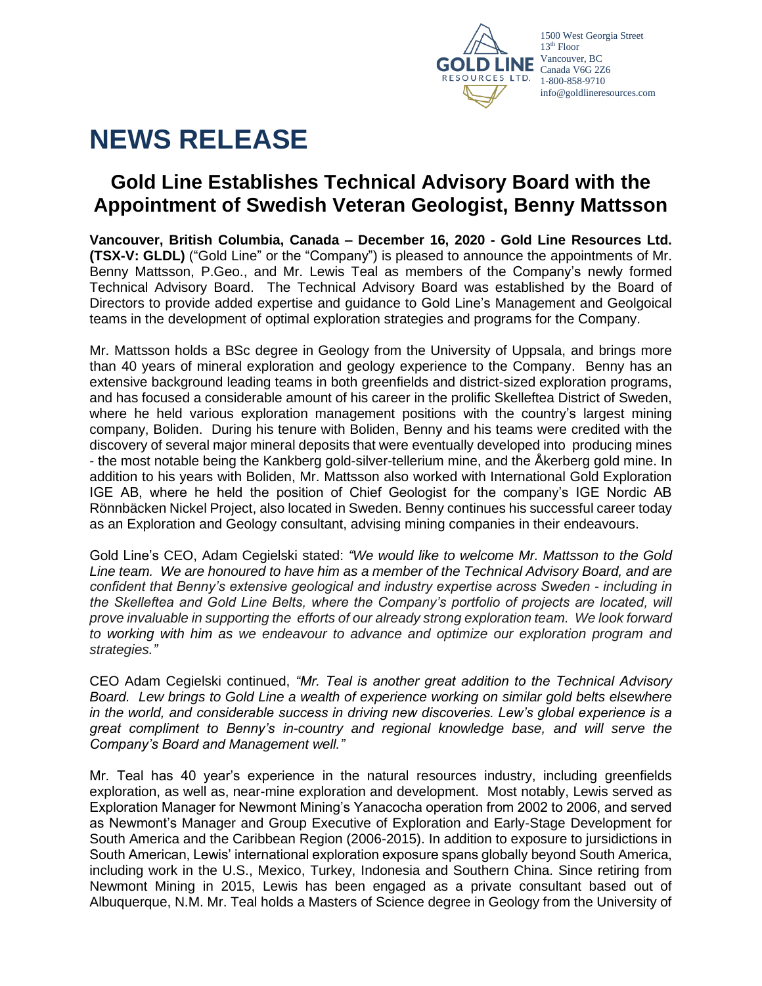

# **NEWS RELEASE**

## **Gold Line Establishes Technical Advisory Board with the Appointment of Swedish Veteran Geologist, Benny Mattsson**

**Vancouver, British Columbia, Canada – December 16, 2020 - Gold Line Resources Ltd. [\(TSX-V:](http://web.tmxmoney.com/quote.php?qm_symbol=syh) GLDL)** ("Gold Line" or the "Company") is pleased to announce the appointments of Mr. Benny Mattsson, P.Geo., and Mr. Lewis Teal as members of the Company's newly formed Technical Advisory Board. The Technical Advisory Board was established by the Board of Directors to provide added expertise and guidance to Gold Line's Management and Geolgoical teams in the development of optimal exploration strategies and programs for the Company.

Mr. Mattsson holds a BSc degree in Geology from the University of Uppsala, and brings more than 40 years of mineral exploration and geology experience to the Company. Benny has an extensive background leading teams in both greenfields and district-sized exploration programs, and has focused a considerable amount of his career in the prolific Skelleftea District of Sweden, where he held various exploration management positions with the country's largest mining company, Boliden. During his tenure with Boliden, Benny and his teams were credited with the discovery of several major mineral deposits that were eventually developed into producing mines - the most notable being the Kankberg gold-silver-tellerium mine, and the Åkerberg gold mine. In addition to his years with Boliden, Mr. Mattsson also worked with International Gold Exploration IGE AB, where he held the position of Chief Geologist for the company's IGE Nordic AB Rönnbäcken Nickel Project, also located in Sweden. Benny continues his successful career today as an Exploration and Geology consultant, advising mining companies in their endeavours.

Gold Line's CEO, Adam Cegielski stated: *"We would like to welcome Mr. Mattsson to the Gold Line team. We are honoured to have him as a member of the Technical Advisory Board, and are confident that Benny's extensive geological and industry expertise across Sweden - including in the Skelleftea and Gold Line Belts, where the Company's portfolio of projects are located, will prove invaluable in supporting the efforts of our already strong exploration team. We look forward to working with him as we endeavour to advance and optimize our exploration program and strategies."*

CEO Adam Cegielski continued, *"Mr. Teal is another great addition to the Technical Advisory Board. Lew brings to Gold Line a wealth of experience working on similar gold belts elsewhere in the world, and considerable success in driving new discoveries. Lew's global experience is a great compliment to Benny's in-country and regional knowledge base, and will serve the Company's Board and Management well."*

Mr. Teal has 40 year's experience in the natural resources industry, including greenfields exploration, as well as, near-mine exploration and development. Most notably, Lewis served as Exploration Manager for Newmont Mining's Yanacocha operation from 2002 to 2006, and served as Newmont's Manager and Group Executive of Exploration and Early-Stage Development for South America and the Caribbean Region (2006-2015). In addition to exposure to jursidictions in South American, Lewis' international exploration exposure spans globally beyond South America, including work in the U.S., Mexico, Turkey, Indonesia and Southern China. Since retiring from Newmont Mining in 2015, Lewis has been engaged as a private consultant based out of Albuquerque, N.M. Mr. Teal holds a Masters of Science degree in Geology from the University of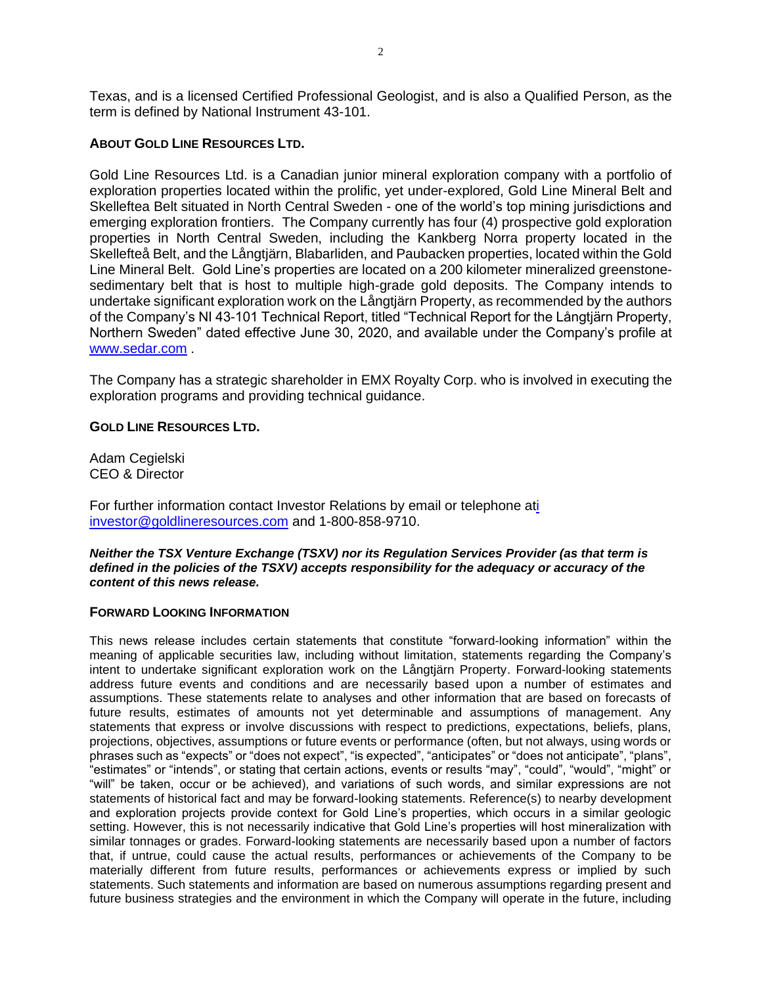Texas, and is a licensed Certified Professional Geologist, and is also a Qualified Person, as the term is defined by National Instrument 43-101.

### **ABOUT GOLD LINE RESOURCES LTD.**

Gold Line Resources Ltd. is a Canadian junior mineral exploration company with a portfolio of exploration properties located within the prolific, yet under-explored, Gold Line Mineral Belt and Skelleftea Belt situated in North Central Sweden - one of the world's top mining jurisdictions and emerging exploration frontiers. The Company currently has four (4) prospective gold exploration properties in North Central Sweden, including the Kankberg Norra property located in the Skellefteå Belt, and the Långtjärn, Blabarliden, and Paubacken properties, located within the Gold Line Mineral Belt. Gold Line's properties are located on a 200 kilometer mineralized greenstonesedimentary belt that is host to multiple high-grade gold deposits. The Company intends to undertake significant exploration work on the Långtjärn Property, as recommended by the authors of the Company's NI 43-101 Technical Report, titled "Technical Report for the Långtjärn Property, Northern Sweden" dated effective June 30, 2020, and available under the Company's profile at [www.sedar.com](http://www.sedar.com/) .

The Company has a strategic shareholder in EMX Royalty Corp. who is involved in executing the exploration programs and providing technical guidance.

#### **GOLD LINE RESOURCES LTD.**

Adam Cegielski CEO & Director

For further information contact Investor Relations by email or telephone a[ti](mailto:i%20investor@goldlineresources.com)  [investor@goldlineresources.com](mailto:i%20investor@goldlineresources.com) and 1-800-858-9710.

*Neither the TSX Venture Exchange (TSXV) nor its Regulation Services Provider (as that term is defined in the policies of the TSXV) accepts responsibility for the adequacy or accuracy of the content of this news release.*

#### **FORWARD LOOKING INFORMATION**

This news release includes certain statements that constitute "forward-looking information" within the meaning of applicable securities law, including without limitation, statements regarding the Company's intent to undertake significant exploration work on the Långtjärn Property. Forward-looking statements address future events and conditions and are necessarily based upon a number of estimates and assumptions. These statements relate to analyses and other information that are based on forecasts of future results, estimates of amounts not yet determinable and assumptions of management. Any statements that express or involve discussions with respect to predictions, expectations, beliefs, plans, projections, objectives, assumptions or future events or performance (often, but not always, using words or phrases such as "expects" or "does not expect", "is expected", "anticipates" or "does not anticipate", "plans", "estimates" or "intends", or stating that certain actions, events or results "may", "could", "would", "might" or "will" be taken, occur or be achieved), and variations of such words, and similar expressions are not statements of historical fact and may be forward-looking statements. Reference(s) to nearby development and exploration projects provide context for Gold Line's properties, which occurs in a similar geologic setting. However, this is not necessarily indicative that Gold Line's properties will host mineralization with similar tonnages or grades. Forward-looking statements are necessarily based upon a number of factors that, if untrue, could cause the actual results, performances or achievements of the Company to be materially different from future results, performances or achievements express or implied by such statements. Such statements and information are based on numerous assumptions regarding present and future business strategies and the environment in which the Company will operate in the future, including